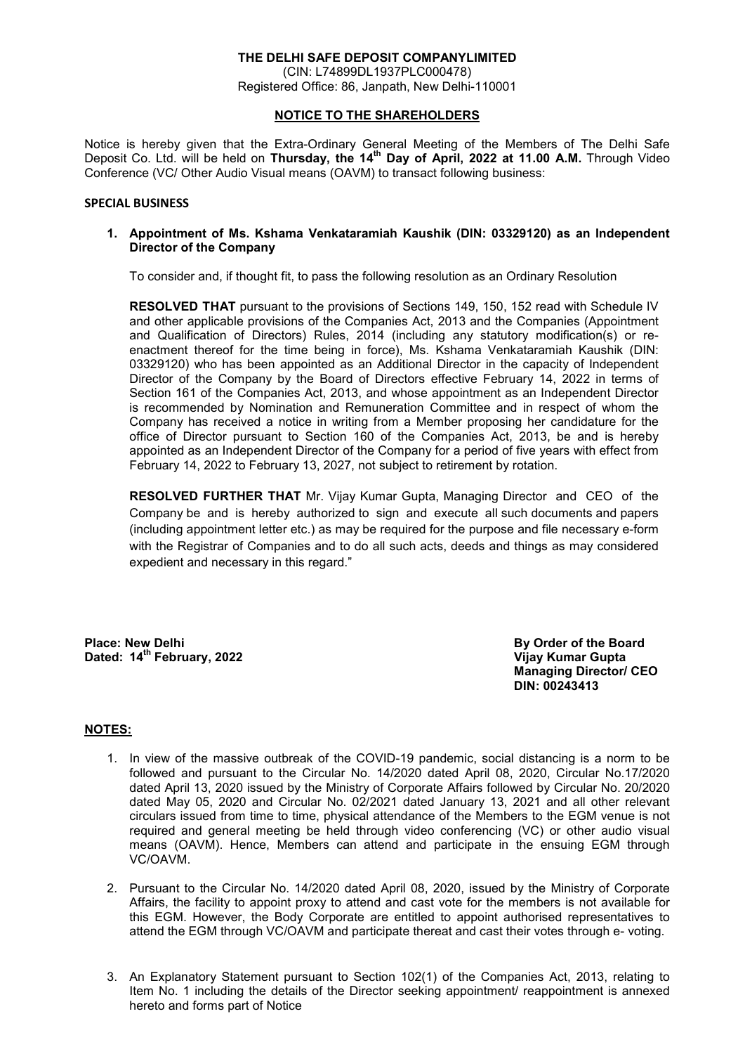# **THE DELHI SAFE DEPOSIT COMPANYLIMITED**  (CIN: L74899DL1937PLC000478)

Registered Office: 86, Janpath, New Delhi-110001

# **NOTICE TO THE SHAREHOLDERS**

Notice is hereby given that the Extra-Ordinary General Meeting of the Members of The Delhi Safe Deposit Co. Ltd. will be held on **Thursday, the 14th Day of April, 2022 at 11.00 A.M.** Through Video Conference (VC/ Other Audio Visual means (OAVM) to transact following business:

#### **SPECIAL BUSINESS**

#### **1. Appointment of Ms. Kshama Venkataramiah Kaushik (DIN: 03329120) as an Independent Director of the Company**

To consider and, if thought fit, to pass the following resolution as an Ordinary Resolution

 **RESOLVED THAT** pursuant to the provisions of Sections 149, 150, 152 read with Schedule IV and other applicable provisions of the Companies Act, 2013 and the Companies (Appointment and Qualification of Directors) Rules, 2014 (including any statutory modification(s) or reenactment thereof for the time being in force), Ms. Kshama Venkataramiah Kaushik (DIN: 03329120) who has been appointed as an Additional Director in the capacity of Independent Director of the Company by the Board of Directors effective February 14, 2022 in terms of Section 161 of the Companies Act, 2013, and whose appointment as an Independent Director is recommended by Nomination and Remuneration Committee and in respect of whom the Company has received a notice in writing from a Member proposing her candidature for the office of Director pursuant to Section 160 of the Companies Act, 2013, be and is hereby appointed as an Independent Director of the Company for a period of five years with effect from February 14, 2022 to February 13, 2027, not subject to retirement by rotation.

**RESOLVED FURTHER THAT** Mr. Vijay Kumar Gupta, Managing Director and CEO of the Company be and is hereby authorized to sign and execute all such documents and papers (including appointment letter etc.) as may be required for the purpose and file necessary e-form with the Registrar of Companies and to do all such acts, deeds and things as may considered expedient and necessary in this regard."

**Place: New Delhi By Order of the Board Allen School By Order of the Board Dated: 14th February, 2022 Vijay Kumar Gupta** 

 **Managing Director/ CEO DIN: 00243413** 

# **NOTES:**

- 1. In view of the massive outbreak of the COVID-19 pandemic, social distancing is a norm to be followed and pursuant to the Circular No. 14/2020 dated April 08, 2020, Circular No.17/2020 dated April 13, 2020 issued by the Ministry of Corporate Affairs followed by Circular No. 20/2020 dated May 05, 2020 and Circular No. 02/2021 dated January 13, 2021 and all other relevant circulars issued from time to time, physical attendance of the Members to the EGM venue is not required and general meeting be held through video conferencing (VC) or other audio visual means (OAVM). Hence, Members can attend and participate in the ensuing EGM through VC/OAVM.
- 2. Pursuant to the Circular No. 14/2020 dated April 08, 2020, issued by the Ministry of Corporate Affairs, the facility to appoint proxy to attend and cast vote for the members is not available for this EGM. However, the Body Corporate are entitled to appoint authorised representatives to attend the EGM through VC/OAVM and participate thereat and cast their votes through e- voting.
- 3. An Explanatory Statement pursuant to Section 102(1) of the Companies Act, 2013, relating to Item No. 1 including the details of the Director seeking appointment/ reappointment is annexed hereto and forms part of Notice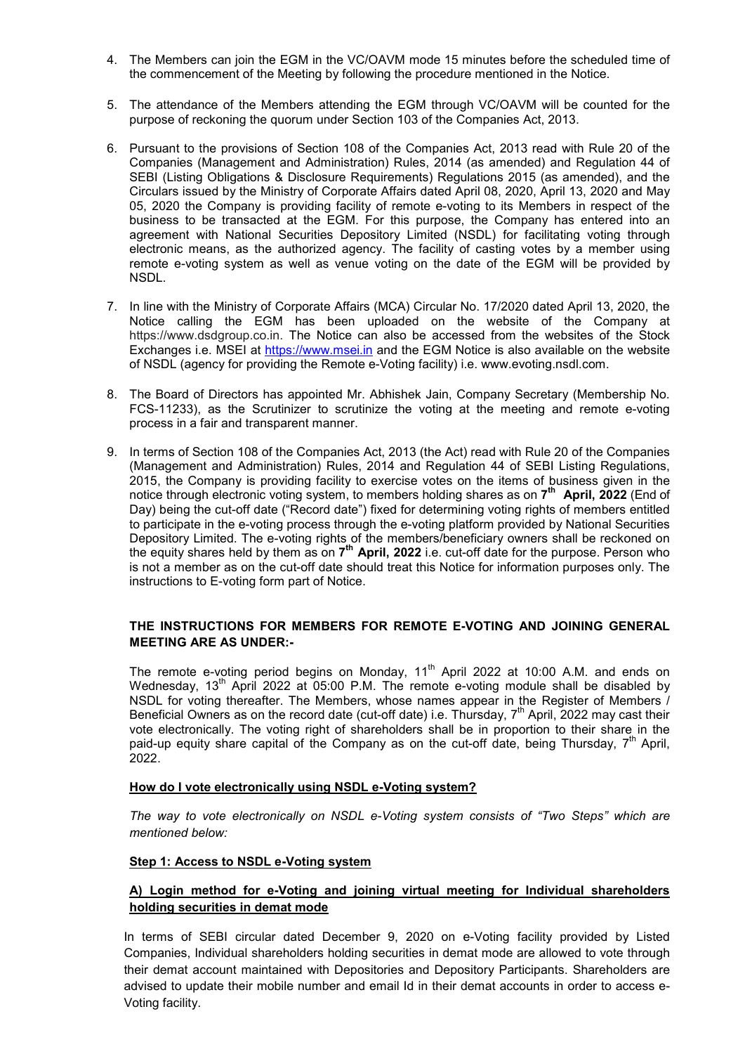- 4. The Members can join the EGM in the VC/OAVM mode 15 minutes before the scheduled time of the commencement of the Meeting by following the procedure mentioned in the Notice.
- 5. The attendance of the Members attending the EGM through VC/OAVM will be counted for the purpose of reckoning the quorum under Section 103 of the Companies Act, 2013.
- 6. Pursuant to the provisions of Section 108 of the Companies Act, 2013 read with Rule 20 of the Companies (Management and Administration) Rules, 2014 (as amended) and Regulation 44 of SEBI (Listing Obligations & Disclosure Requirements) Regulations 2015 (as amended), and the Circulars issued by the Ministry of Corporate Affairs dated April 08, 2020, April 13, 2020 and May 05, 2020 the Company is providing facility of remote e-voting to its Members in respect of the business to be transacted at the EGM. For this purpose, the Company has entered into an agreement with National Securities Depository Limited (NSDL) for facilitating voting through electronic means, as the authorized agency. The facility of casting votes by a member using remote e-voting system as well as venue voting on the date of the EGM will be provided by NSDL.
- 7. In line with the Ministry of Corporate Affairs (MCA) Circular No. 17/2020 dated April 13, 2020, the Notice calling the EGM has been uploaded on the website of the Company at https://www.dsdgroup.co.in. The Notice can also be accessed from the websites of the Stock Exchanges i.e. MSEI at https://www.msei.in and the EGM Notice is also available on the website of NSDL (agency for providing the Remote e-Voting facility) i.e. www.evoting.nsdl.com.
- 8. The Board of Directors has appointed Mr. Abhishek Jain, Company Secretary (Membership No. FCS-11233), as the Scrutinizer to scrutinize the voting at the meeting and remote e-voting process in a fair and transparent manner.
- 9. In terms of Section 108 of the Companies Act, 2013 (the Act) read with Rule 20 of the Companies (Management and Administration) Rules, 2014 and Regulation 44 of SEBI Listing Regulations, 2015, the Company is providing facility to exercise votes on the items of business given in the notice through electronic voting system, to members holding shares as on **7 th April, 2022** (End of Day) being the cut-off date ("Record date") fixed for determining voting rights of members entitled to participate in the e-voting process through the e-voting platform provided by National Securities Depository Limited. The e-voting rights of the members/beneficiary owners shall be reckoned on the equity shares held by them as on 7<sup>th</sup> April, 2022 i.e. cut-off date for the purpose. Person who is not a member as on the cut-off date should treat this Notice for information purposes only. The instructions to E-voting form part of Notice.

# **THE INSTRUCTIONS FOR MEMBERS FOR REMOTE E-VOTING AND JOINING GENERAL MEETING ARE AS UNDER:-**

The remote e-voting period begins on Monday,  $11<sup>th</sup>$  April 2022 at 10:00 A.M. and ends on Wednesday, 13<sup>th</sup> April 2022 at 05:00 P.M. The remote e-voting module shall be disabled by NSDL for voting thereafter. The Members, whose names appear in the Register of Members / Beneficial Owners as on the record date (cut-off date) i.e. Thursday, 7<sup>th</sup> April, 2022 may cast their vote electronically. The voting right of shareholders shall be in proportion to their share in the paid-up equity share capital of the Company as on the cut-off date, being Thursday,  $7<sup>th</sup>$  April, 2022.

#### **How do I vote electronically using NSDL e-Voting system?**

*The way to vote electronically on NSDL e-Voting system consists of "Two Steps" which are mentioned below:* 

# **Step 1: Access to NSDL e-Voting system**

# **A) Login method for e-Voting and joining virtual meeting for Individual shareholders holding securities in demat mode**

In terms of SEBI circular dated December 9, 2020 on e-Voting facility provided by Listed Companies, Individual shareholders holding securities in demat mode are allowed to vote through their demat account maintained with Depositories and Depository Participants. Shareholders are advised to update their mobile number and email Id in their demat accounts in order to access e-Voting facility.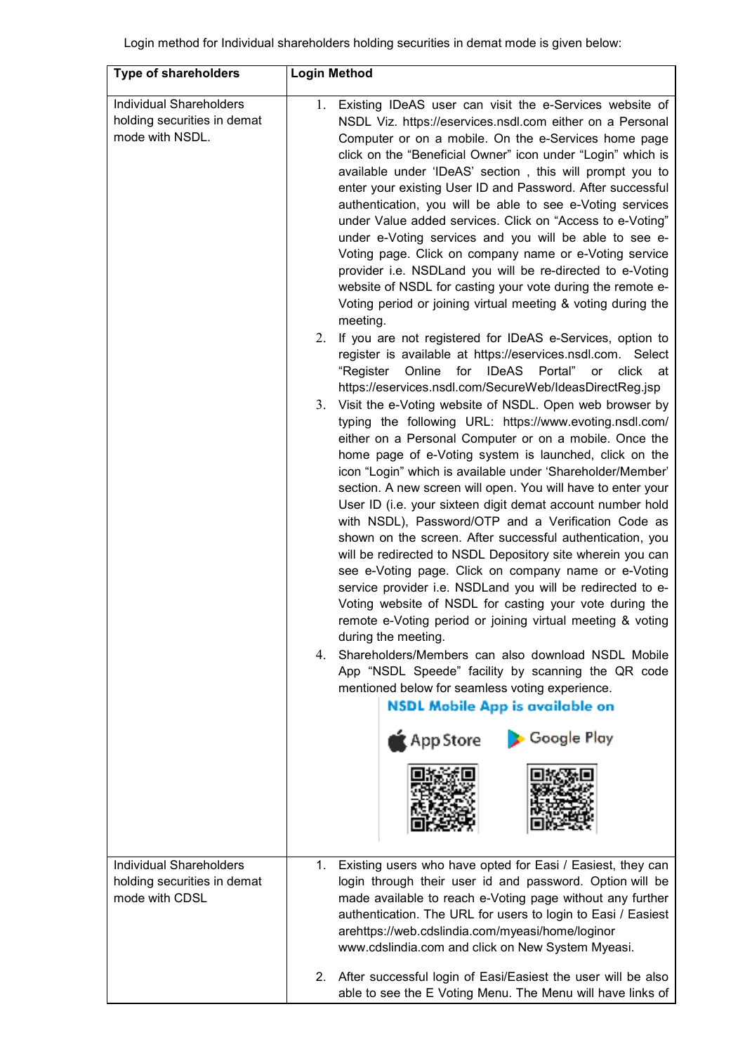| <b>Type of shareholders</b>                                                      | <b>Login Method</b>                                                                                                                                                                                                                                                                                                                                                                                                                                                                                                                                                                                                                                                                                                                                                                                                                                                                                                                                                                                                                                                                                                                                                                                                                                                                                                                                                                                                                                                                                                                                                                                                                                                                                                                                                                                                                                                                                                                                                                                                                                                                                                                                                                                                                  |
|----------------------------------------------------------------------------------|--------------------------------------------------------------------------------------------------------------------------------------------------------------------------------------------------------------------------------------------------------------------------------------------------------------------------------------------------------------------------------------------------------------------------------------------------------------------------------------------------------------------------------------------------------------------------------------------------------------------------------------------------------------------------------------------------------------------------------------------------------------------------------------------------------------------------------------------------------------------------------------------------------------------------------------------------------------------------------------------------------------------------------------------------------------------------------------------------------------------------------------------------------------------------------------------------------------------------------------------------------------------------------------------------------------------------------------------------------------------------------------------------------------------------------------------------------------------------------------------------------------------------------------------------------------------------------------------------------------------------------------------------------------------------------------------------------------------------------------------------------------------------------------------------------------------------------------------------------------------------------------------------------------------------------------------------------------------------------------------------------------------------------------------------------------------------------------------------------------------------------------------------------------------------------------------------------------------------------------|
| <b>Individual Shareholders</b><br>holding securities in demat<br>mode with NSDL. | Existing IDeAS user can visit the e-Services website of<br>1.<br>NSDL Viz. https://eservices.nsdl.com either on a Personal<br>Computer or on a mobile. On the e-Services home page<br>click on the "Beneficial Owner" icon under "Login" which is<br>available under 'IDeAS' section, this will prompt you to<br>enter your existing User ID and Password. After successful<br>authentication, you will be able to see e-Voting services<br>under Value added services. Click on "Access to e-Voting"<br>under e-Voting services and you will be able to see e-<br>Voting page. Click on company name or e-Voting service<br>provider i.e. NSDLand you will be re-directed to e-Voting<br>website of NSDL for casting your vote during the remote e-<br>Voting period or joining virtual meeting & voting during the<br>meeting.<br>If you are not registered for IDeAS e-Services, option to<br>2.<br>register is available at https://eservices.nsdl.com. Select<br>"Register<br>Online<br>for IDeAS Portal" or click at<br>https://eservices.nsdl.com/SecureWeb/IdeasDirectReg.jsp<br>Visit the e-Voting website of NSDL. Open web browser by<br>3.<br>typing the following URL: https://www.evoting.nsdl.com/<br>either on a Personal Computer or on a mobile. Once the<br>home page of e-Voting system is launched, click on the<br>icon "Login" which is available under 'Shareholder/Member'<br>section. A new screen will open. You will have to enter your<br>User ID (i.e. your sixteen digit demat account number hold<br>with NSDL), Password/OTP and a Verification Code as<br>shown on the screen. After successful authentication, you<br>will be redirected to NSDL Depository site wherein you can<br>see e-Voting page. Click on company name or e-Voting<br>service provider i.e. NSDLand you will be redirected to e-<br>Voting website of NSDL for casting your vote during the<br>remote e-Voting period or joining virtual meeting & voting<br>during the meeting.<br>Shareholders/Members can also download NSDL Mobile<br>4.<br>App "NSDL Speede" facility by scanning the QR code<br>mentioned below for seamless voting experience.<br><b>NSDL Mobile App is available on</b><br>App Store<br>Google Play |
| <b>Individual Shareholders</b><br>holding securities in demat<br>mode with CDSL  | Existing users who have opted for Easi / Easiest, they can<br>1.<br>login through their user id and password. Option will be<br>made available to reach e-Voting page without any further<br>authentication. The URL for users to login to Easi / Easiest<br>arehttps://web.cdslindia.com/myeasi/home/loginor<br>www.cdslindia.com and click on New System Myeasi.<br>After successful login of Easi/Easiest the user will be also<br>2.<br>able to see the E Voting Menu. The Menu will have links of                                                                                                                                                                                                                                                                                                                                                                                                                                                                                                                                                                                                                                                                                                                                                                                                                                                                                                                                                                                                                                                                                                                                                                                                                                                                                                                                                                                                                                                                                                                                                                                                                                                                                                                               |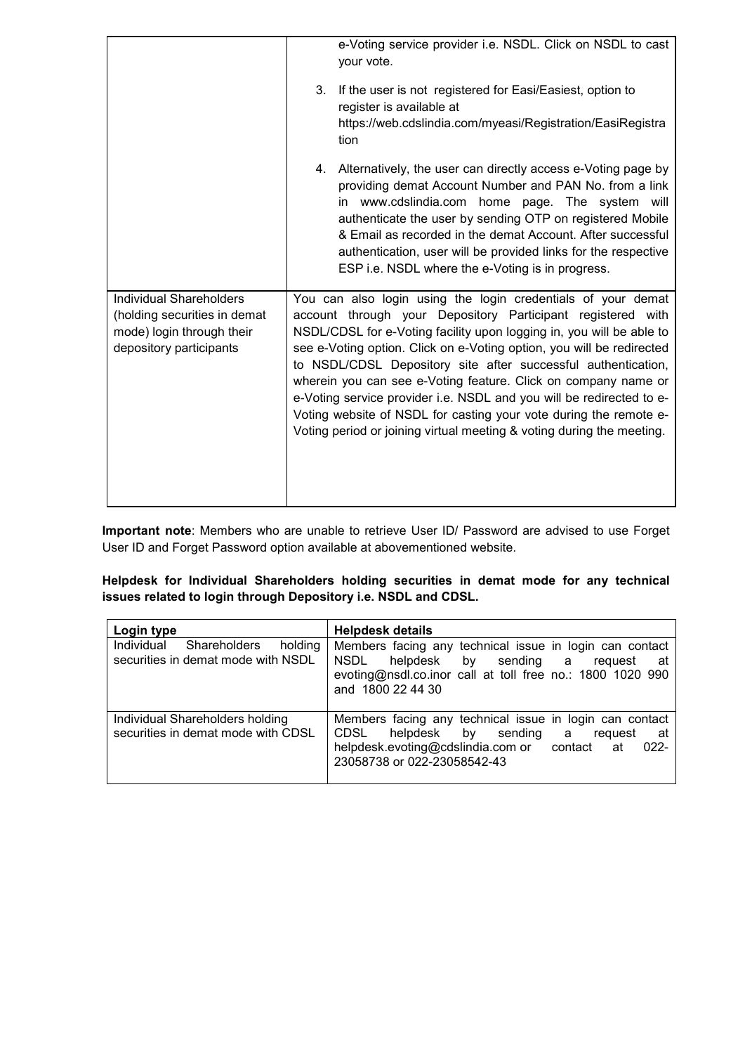|                                                                                                                        | e-Voting service provider i.e. NSDL. Click on NSDL to cast<br>your vote.<br>3.<br>If the user is not registered for Easi/Easiest, option to<br>register is available at<br>https://web.cdslindia.com/myeasi/Registration/EasiRegistra<br>tion<br>Alternatively, the user can directly access e-Voting page by<br>4.<br>providing demat Account Number and PAN No. from a link<br>in www.cdslindia.com home page. The system will<br>authenticate the user by sending OTP on registered Mobile<br>& Email as recorded in the demat Account. After successful<br>authentication, user will be provided links for the respective<br>ESP i.e. NSDL where the e-Voting is in progress. |
|------------------------------------------------------------------------------------------------------------------------|-----------------------------------------------------------------------------------------------------------------------------------------------------------------------------------------------------------------------------------------------------------------------------------------------------------------------------------------------------------------------------------------------------------------------------------------------------------------------------------------------------------------------------------------------------------------------------------------------------------------------------------------------------------------------------------|
| <b>Individual Shareholders</b><br>(holding securities in demat<br>mode) login through their<br>depository participants | You can also login using the login credentials of your demat<br>account through your Depository Participant registered with<br>NSDL/CDSL for e-Voting facility upon logging in, you will be able to<br>see e-Voting option. Click on e-Voting option, you will be redirected<br>to NSDL/CDSL Depository site after successful authentication,<br>wherein you can see e-Voting feature. Click on company name or<br>e-Voting service provider i.e. NSDL and you will be redirected to e-<br>Voting website of NSDL for casting your vote during the remote e-<br>Voting period or joining virtual meeting & voting during the meeting.                                             |

**Important note**: Members who are unable to retrieve User ID/ Password are advised to use Forget User ID and Forget Password option available at abovementioned website.

**Helpdesk for Individual Shareholders holding securities in demat mode for any technical issues related to login through Depository i.e. NSDL and CDSL.** 

| Login type                                                                         | <b>Helpdesk details</b>                                                                                                                                                                             |
|------------------------------------------------------------------------------------|-----------------------------------------------------------------------------------------------------------------------------------------------------------------------------------------------------|
| Individual<br><b>Shareholders</b><br>holding<br>securities in demat mode with NSDL | Members facing any technical issue in login can contact<br>NSDL helpdesk by sending a request<br>at -<br>evoting@nsdl.co.inor call at toll free no.: 1800 1020 990<br>and 1800 22 44 30             |
| Individual Shareholders holding<br>securities in demat mode with CDSL              | Members facing any technical issue in login can contact<br>CDSL helpdesk by sending a<br>request<br>at<br>helpdesk.evoting@cdslindia.com or contact<br>$022 -$<br>at<br>23058738 or 022-23058542-43 |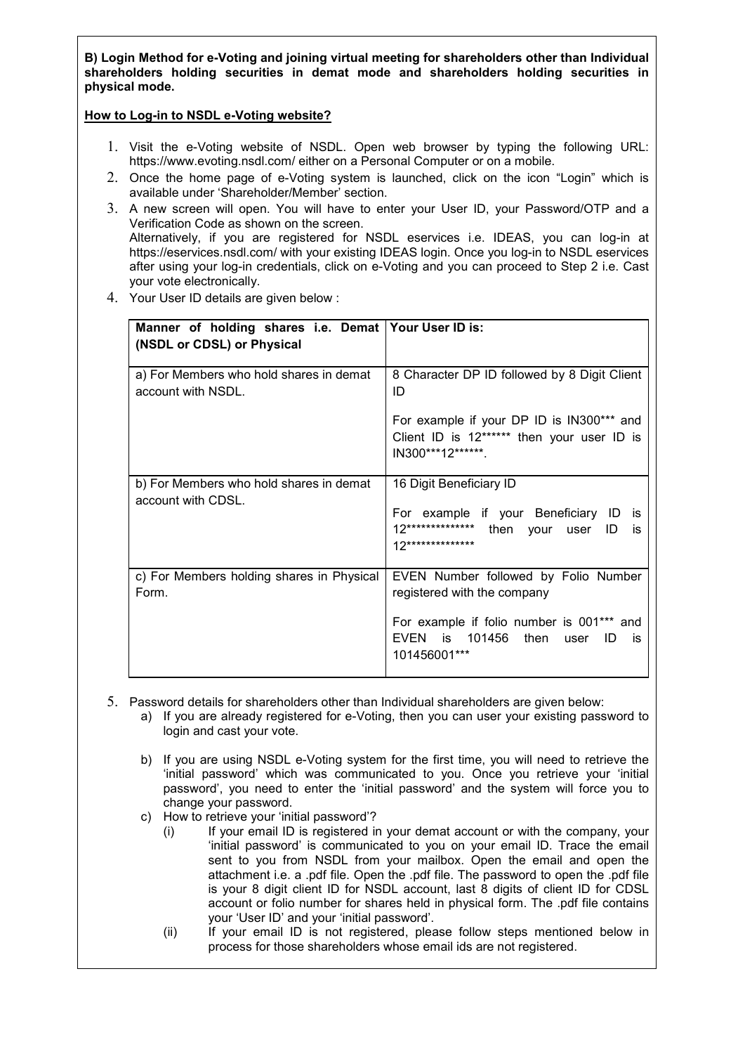**B) Login Method for e-Voting and joining virtual meeting for shareholders other than Individual shareholders holding securities in demat mode and shareholders holding securities in physical mode.** 

#### **How to Log-in to NSDL e-Voting website?**

- 1. Visit the e-Voting website of NSDL. Open web browser by typing the following URL: https://www.evoting.nsdl.com/ either on a Personal Computer or on a mobile.
- 2. Once the home page of e-Voting system is launched, click on the icon "Login" which is available under 'Shareholder/Member' section.
- 3. A new screen will open. You will have to enter your User ID, your Password/OTP and a Verification Code as shown on the screen. Alternatively, if you are registered for NSDL eservices i.e. IDEAS, you can log-in at https://eservices.nsdl.com/ with your existing IDEAS login. Once you log-in to NSDL eservices after using your log-in credentials, click on e-Voting and you can proceed to Step 2 i.e. Cast your vote electronically.
- 4. Your User ID details are given below :

| Manner of holding shares i.e. Demat   Your User ID is:<br>(NSDL or CDSL) or Physical |                                                                                                                                           |
|--------------------------------------------------------------------------------------|-------------------------------------------------------------------------------------------------------------------------------------------|
| a) For Members who hold shares in demat<br>account with NSDL.                        | 8 Character DP ID followed by 8 Digit Client<br>ID                                                                                        |
|                                                                                      | For example if your DP ID is IN300*** and<br>Client ID is 12****** then your user ID is<br>IN300***12*******.                             |
| b) For Members who hold shares in demat<br>account with CDSL.                        | 16 Digit Beneficiary ID<br>For example if your Beneficiary ID<br>İS<br>12************** then your<br>user<br>ID<br>is<br>12************** |
| c) For Members holding shares in Physical<br>Form.                                   | EVEN Number followed by Folio Number<br>registered with the company                                                                       |
|                                                                                      | For example if folio number is 001*** and<br>EVEN is 101456<br>then<br>ID<br>user<br>is<br>101456001***                                   |

- 5. Password details for shareholders other than Individual shareholders are given below:
	- a) If you are already registered for e-Voting, then you can user your existing password to login and cast your vote.
	- b) If you are using NSDL e-Voting system for the first time, you will need to retrieve the 'initial password' which was communicated to you. Once you retrieve your 'initial password', you need to enter the 'initial password' and the system will force you to change your password.
	- c) How to retrieve your 'initial password'?
		- (i) If your email ID is registered in your demat account or with the company, your 'initial password' is communicated to you on your email ID. Trace the email sent to you from NSDL from your mailbox. Open the email and open the attachment i.e. a .pdf file. Open the .pdf file. The password to open the .pdf file is your 8 digit client ID for NSDL account, last 8 digits of client ID for CDSL account or folio number for shares held in physical form. The .pdf file contains your 'User ID' and your 'initial password'.
		- (ii) If your email ID is not registered, please follow steps mentioned below in process for those shareholders whose email ids are not registered.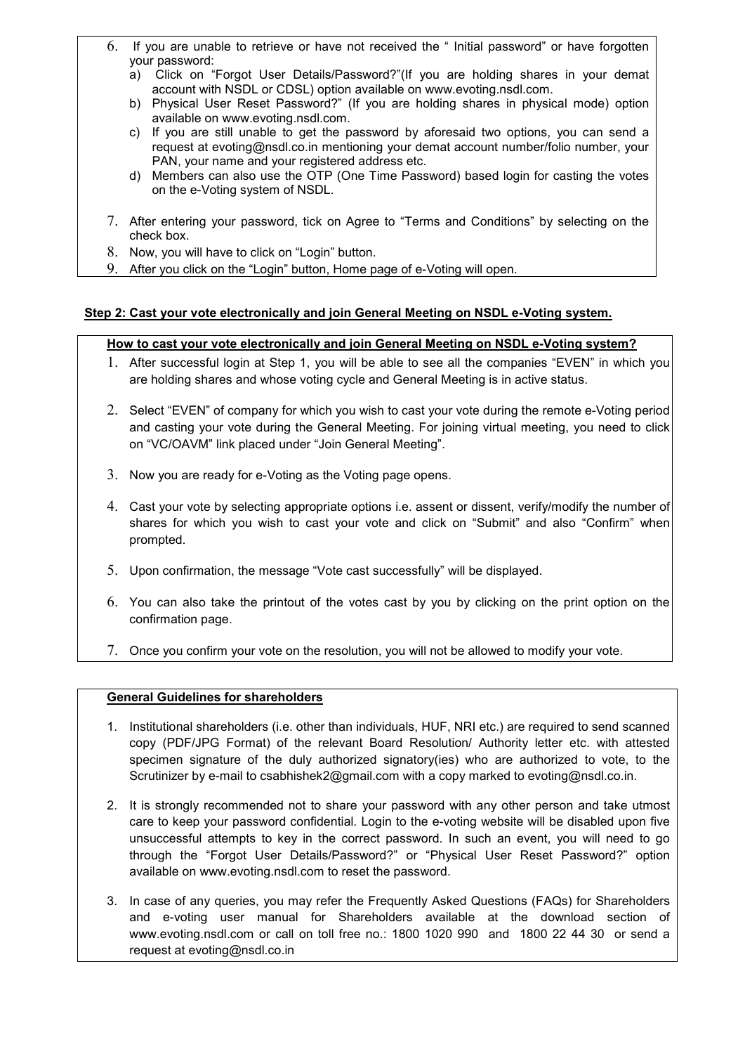- 6. If you are unable to retrieve or have not received the " Initial password" or have forgotten your password:
	- a) Click on "Forgot User Details/Password?"(If you are holding shares in your demat account with NSDL or CDSL) option available on www.evoting.nsdl.com.
	- b) Physical User Reset Password?" (If you are holding shares in physical mode) option available on www.evoting.nsdl.com.
	- c) If you are still unable to get the password by aforesaid two options, you can send a request at evoting@nsdl.co.in mentioning your demat account number/folio number, your PAN, your name and your registered address etc.
	- d) Members can also use the OTP (One Time Password) based login for casting the votes on the e-Voting system of NSDL.
- 7. After entering your password, tick on Agree to "Terms and Conditions" by selecting on the check box.
- 8. Now, you will have to click on "Login" button.
- 9. After you click on the "Login" button, Home page of e-Voting will open.

# **Step 2: Cast your vote electronically and join General Meeting on NSDL e-Voting system.**

# **How to cast your vote electronically and join General Meeting on NSDL e-Voting system?**

- 1. After successful login at Step 1, you will be able to see all the companies "EVEN" in which you are holding shares and whose voting cycle and General Meeting is in active status.
- 2. Select "EVEN" of company for which you wish to cast your vote during the remote e-Voting period and casting your vote during the General Meeting. For joining virtual meeting, you need to click on "VC/OAVM" link placed under "Join General Meeting".
- 3. Now you are ready for e-Voting as the Voting page opens.
- 4. Cast your vote by selecting appropriate options i.e. assent or dissent, verify/modify the number of shares for which you wish to cast your vote and click on "Submit" and also "Confirm" when prompted.
- 5. Upon confirmation, the message "Vote cast successfully" will be displayed.
- 6. You can also take the printout of the votes cast by you by clicking on the print option on the confirmation page.
- 7. Once you confirm your vote on the resolution, you will not be allowed to modify your vote.

# **General Guidelines for shareholders**

- 1. Institutional shareholders (i.e. other than individuals, HUF, NRI etc.) are required to send scanned copy (PDF/JPG Format) of the relevant Board Resolution/ Authority letter etc. with attested specimen signature of the duly authorized signatory(ies) who are authorized to vote, to the Scrutinizer by e-mail to csabhishek2@gmail.com with a copy marked to evoting@nsdl.co.in.
- 2. It is strongly recommended not to share your password with any other person and take utmost care to keep your password confidential. Login to the e-voting website will be disabled upon five unsuccessful attempts to key in the correct password. In such an event, you will need to go through the "Forgot User Details/Password?" or "Physical User Reset Password?" option available on www.evoting.nsdl.com to reset the password.
- 3. In case of any queries, you may refer the Frequently Asked Questions (FAQs) for Shareholders and e-voting user manual for Shareholders available at the download section of www.evoting.nsdl.com or call on toll free no.: 1800 1020 990 and 1800 22 44 30 or send a request at evoting@nsdl.co.in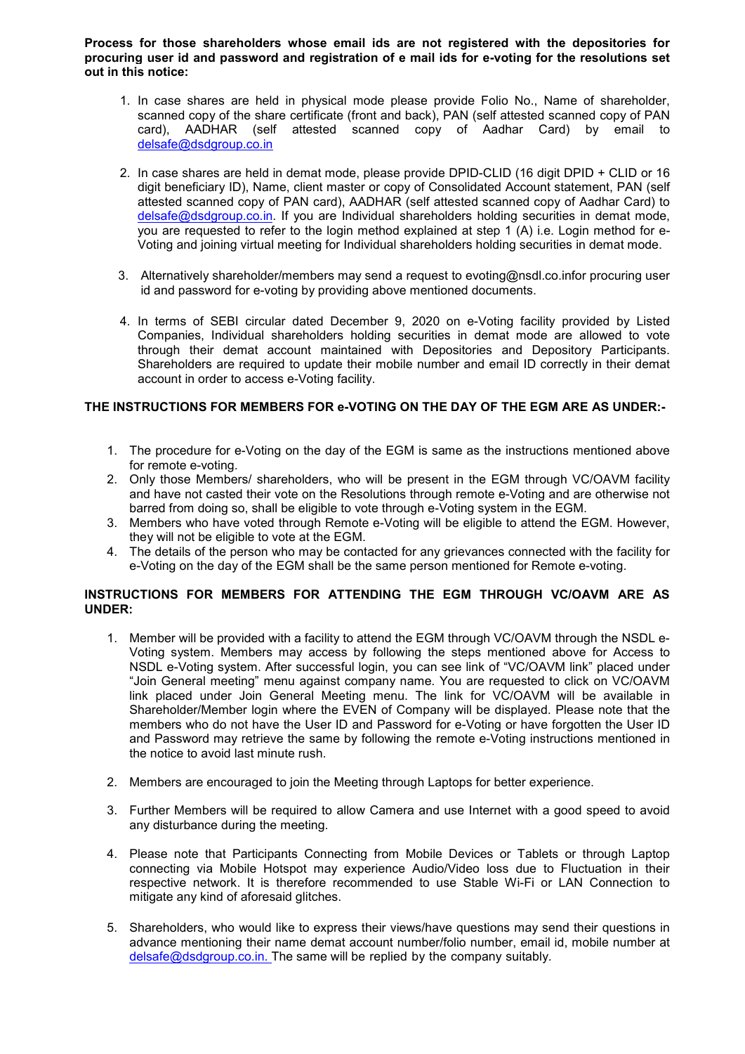**Process for those shareholders whose email ids are not registered with the depositories for procuring user id and password and registration of e mail ids for e-voting for the resolutions set out in this notice:** 

- 1. In case shares are held in physical mode please provide Folio No., Name of shareholder, scanned copy of the share certificate (front and back), PAN (self attested scanned copy of PAN card), AADHAR (self attested scanned copy of Aadhar Card) by email to delsafe@dsdgroup.co.in
- 2. In case shares are held in demat mode, please provide DPID-CLID (16 digit DPID + CLID or 16 digit beneficiary ID), Name, client master or copy of Consolidated Account statement, PAN (self attested scanned copy of PAN card), AADHAR (self attested scanned copy of Aadhar Card) to delsafe@dsdgroup.co.in. If you are Individual shareholders holding securities in demat mode, you are requested to refer to the login method explained at step 1 (A) i.e. Login method for e-Voting and joining virtual meeting for Individual shareholders holding securities in demat mode.
- 3. Alternatively shareholder/members may send a request to evoting@nsdl.co.infor procuring user id and password for e-voting by providing above mentioned documents.
- 4. In terms of SEBI circular dated December 9, 2020 on e-Voting facility provided by Listed Companies, Individual shareholders holding securities in demat mode are allowed to vote through their demat account maintained with Depositories and Depository Participants. Shareholders are required to update their mobile number and email ID correctly in their demat account in order to access e-Voting facility.

#### **THE INSTRUCTIONS FOR MEMBERS FOR e-VOTING ON THE DAY OF THE EGM ARE AS UNDER:-**

- 1. The procedure for e-Voting on the day of the EGM is same as the instructions mentioned above for remote e-voting.
- 2. Only those Members/ shareholders, who will be present in the EGM through VC/OAVM facility and have not casted their vote on the Resolutions through remote e-Voting and are otherwise not barred from doing so, shall be eligible to vote through e-Voting system in the EGM.
- 3. Members who have voted through Remote e-Voting will be eligible to attend the EGM. However, they will not be eligible to vote at the EGM.
- 4. The details of the person who may be contacted for any grievances connected with the facility for e-Voting on the day of the EGM shall be the same person mentioned for Remote e-voting.

#### **INSTRUCTIONS FOR MEMBERS FOR ATTENDING THE EGM THROUGH VC/OAVM ARE AS UNDER:**

- 1. Member will be provided with a facility to attend the EGM through VC/OAVM through the NSDL e-Voting system. Members may access by following the steps mentioned above for Access to NSDL e-Voting system. After successful login, you can see link of "VC/OAVM link" placed under "Join General meeting" menu against company name. You are requested to click on VC/OAVM link placed under Join General Meeting menu. The link for VC/OAVM will be available in Shareholder/Member login where the EVEN of Company will be displayed. Please note that the members who do not have the User ID and Password for e-Voting or have forgotten the User ID and Password may retrieve the same by following the remote e-Voting instructions mentioned in the notice to avoid last minute rush.
- 2. Members are encouraged to join the Meeting through Laptops for better experience.
- 3. Further Members will be required to allow Camera and use Internet with a good speed to avoid any disturbance during the meeting.
- 4. Please note that Participants Connecting from Mobile Devices or Tablets or through Laptop connecting via Mobile Hotspot may experience Audio/Video loss due to Fluctuation in their respective network. It is therefore recommended to use Stable Wi-Fi or LAN Connection to mitigate any kind of aforesaid glitches.
- 5. Shareholders, who would like to express their views/have questions may send their questions in advance mentioning their name demat account number/folio number, email id, mobile number at delsafe@dsdgroup.co.in. The same will be replied by the company suitably.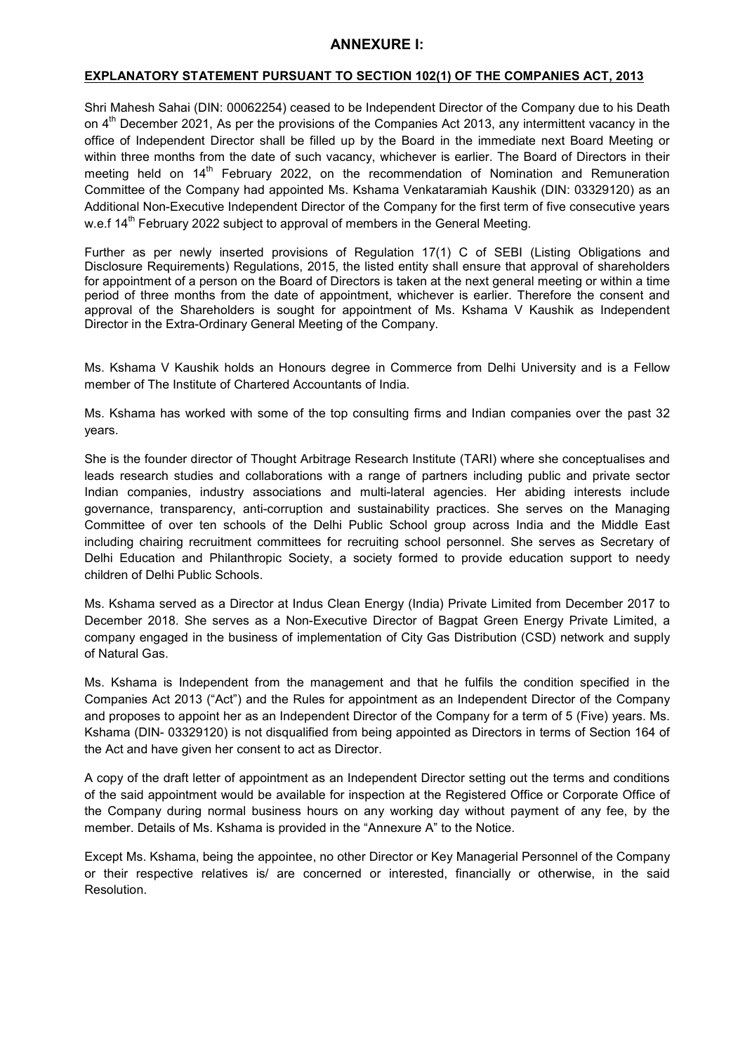# **ANNEXURE I:**

# **EXPLANATORY STATEMENT PURSUANT TO SECTION 102(1) OF THE COMPANIES ACT, 2013**

Shri Mahesh Sahai (DIN: 00062254) ceased to be Independent Director of the Company due to his Death on 4<sup>th</sup> December 2021, As per the provisions of the Companies Act 2013, any intermittent vacancy in the office of Independent Director shall be filled up by the Board in the immediate next Board Meeting or within three months from the date of such vacancy, whichever is earlier. The Board of Directors in their meeting held on 14<sup>th</sup> February 2022, on the recommendation of Nomination and Remuneration Committee of the Company had appointed Ms. Kshama Venkataramiah Kaushik (DIN: 03329120) as an Additional Non-Executive Independent Director of the Company for the first term of five consecutive years w.e.f  $14<sup>th</sup>$  February 2022 subject to approval of members in the General Meeting.

Further as per newly inserted provisions of Regulation 17(1) C of SEBI (Listing Obligations and Disclosure Requirements) Regulations, 2015, the listed entity shall ensure that approval of shareholders for appointment of a person on the Board of Directors is taken at the next general meeting or within a time period of three months from the date of appointment, whichever is earlier. Therefore the consent and approval of the Shareholders is sought for appointment of Ms. Kshama V Kaushik as Independent Director in the Extra-Ordinary General Meeting of the Company.

Ms. Kshama V Kaushik holds an Honours degree in Commerce from Delhi University and is a Fellow member of The Institute of Chartered Accountants of India.

Ms. Kshama has worked with some of the top consulting firms and Indian companies over the past 32 years.

She is the founder director of Thought Arbitrage Research Institute (TARI) where she conceptualises and leads research studies and collaborations with a range of partners including public and private sector Indian companies, industry associations and multi-lateral agencies. Her abiding interests include governance, transparency, anti-corruption and sustainability practices. She serves on the Managing Committee of over ten schools of the Delhi Public School group across India and the Middle East including chairing recruitment committees for recruiting school personnel. She serves as Secretary of Delhi Education and Philanthropic Society, a society formed to provide education support to needy children of Delhi Public Schools.

Ms. Kshama served as a Director at Indus Clean Energy (India) Private Limited from December 2017 to December 2018. She serves as a Non-Executive Director of Bagpat Green Energy Private Limited, a company engaged in the business of implementation of City Gas Distribution (CSD) network and supply of Natural Gas.

Ms. Kshama is Independent from the management and that he fulfils the condition specified in the Companies Act 2013 ("Act") and the Rules for appointment as an Independent Director of the Company and proposes to appoint her as an Independent Director of the Company for a term of 5 (Five) years. Ms. Kshama (DIN- 03329120) is not disqualified from being appointed as Directors in terms of Section 164 of the Act and have given her consent to act as Director.

A copy of the draft letter of appointment as an Independent Director setting out the terms and conditions of the said appointment would be available for inspection at the Registered Office or Corporate Office of the Company during normal business hours on any working day without payment of any fee, by the member. Details of Ms. Kshama is provided in the "Annexure A" to the Notice.

Except Ms. Kshama, being the appointee, no other Director or Key Managerial Personnel of the Company or their respective relatives is/ are concerned or interested, financially or otherwise, in the said Resolution.